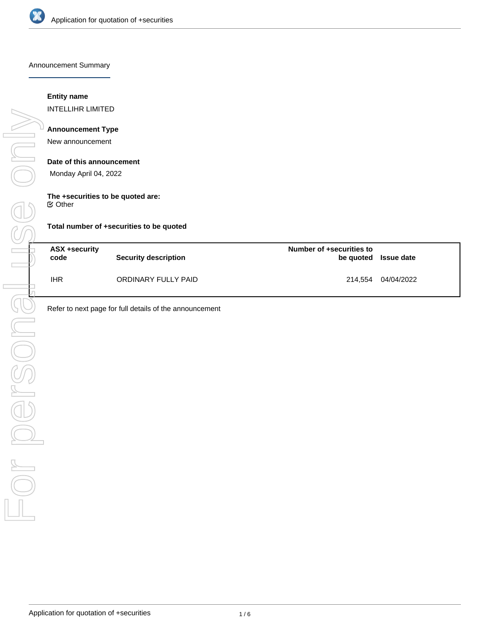

Announcement Summary

## **Entity name**

INTELLIHR LIMITED

## **Announcement Type**

New announcement

#### **Date of this announcement**

Monday April 04, 2022

#### **The +securities to be quoted are:**

 $⊜$  Other

**Total number of +securities to be quoted**

| ASX +security<br>code | Security description | Number of +securities to | be quoted Issue date |
|-----------------------|----------------------|--------------------------|----------------------|
| IHR                   | ORDINARY FULLY PAID  |                          | 214.554 04/04/2022   |

Refer to next page for full details of the announcement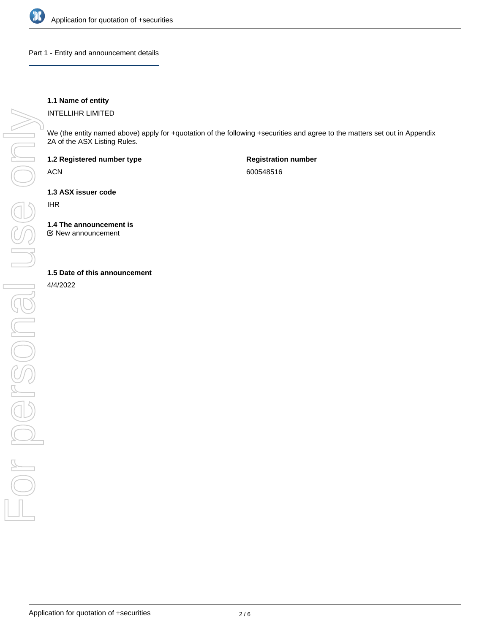

Part 1 - Entity and announcement details

# **1.1 Name of entity**

INTELLIHR LIMITED

We (the entity named above) apply for +quotation of the following +securities and agree to the matters set out in Appendix 2A of the ASX Listing Rules.

**1.2 Registered number type**

ACN

**Registration number** 600548516

**1.3 ASX issuer code**

IHR

**1.4 The announcement is**

New announcement

#### **1.5 Date of this announcement**

4/4/2022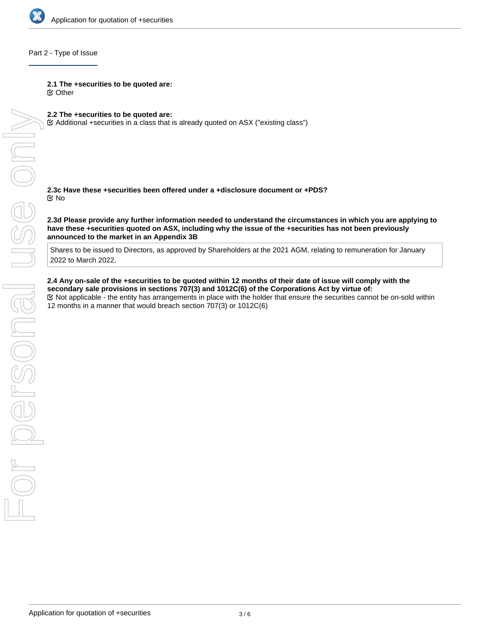

#### Part 2 - Type of Issue

**2.1 The +securities to be quoted are:**

Other

**2.2 The +securities to be quoted are:**

Additional +securities in a class that is already quoted on ASX ("existing class")

**2.3c Have these +securities been offered under a +disclosure document or +PDS?** No

**2.3d Please provide any further information needed to understand the circumstances in which you are applying to have these +securities quoted on ASX, including why the issue of the +securities has not been previously announced to the market in an Appendix 3B**

Shares to be issued to Directors, as approved by Shareholders at the 2021 AGM, relating to remuneration for January 2022 to March 2022.

**2.4 Any on-sale of the +securities to be quoted within 12 months of their date of issue will comply with the secondary sale provisions in sections 707(3) and 1012C(6) of the Corporations Act by virtue of:** Not applicable - the entity has arrangements in place with the holder that ensure the securities cannot be on-sold within 12 months in a manner that would breach section 707(3) or 1012C(6)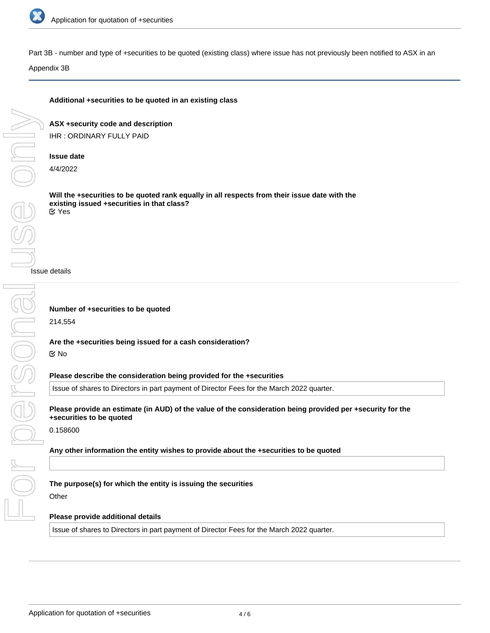

Part 3B - number and type of +securities to be quoted (existing class) where issue has not previously been notified to ASX in an

Appendix 3B

## **Additional +securities to be quoted in an existing class**

**ASX +security code and description** IHR : ORDINARY FULLY PAID

### **Issue date**

4/4/2022

**Will the +securities to be quoted rank equally in all respects from their issue date with the existing issued +securities in that class?** Yes

Issue details

**Number of +securities to be quoted**

214,554

**Are the +securities being issued for a cash consideration?**

#### No

**Please describe the consideration being provided for the +securities**

Issue of shares to Directors in part payment of Director Fees for the March 2022 quarter.

**Please provide an estimate (in AUD) of the value of the consideration being provided per +security for the +securities to be quoted**

0.158600

**Any other information the entity wishes to provide about the +securities to be quoted**

# **The purpose(s) for which the entity is issuing the securities**

Other

# **Please provide additional details**

Issue of shares to Directors in part payment of Director Fees for the March 2022 quarter.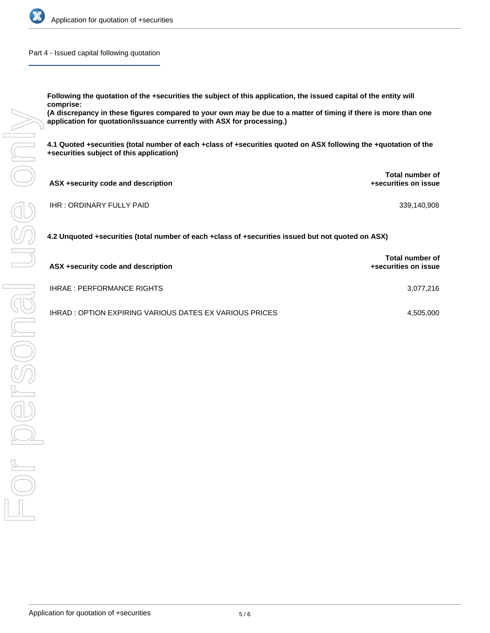

Part 4 - Issued capital following quotation

**Following the quotation of the +securities the subject of this application, the issued capital of the entity will comprise:**

**(A discrepancy in these figures compared to your own may be due to a matter of timing if there is more than one application for quotation/issuance currently with ASX for processing.)**

**4.1 Quoted +securities (total number of each +class of +securities quoted on ASX following the +quotation of the +securities subject of this application)**

| ASX +security code and description | Total number of<br>+securities on issue |
|------------------------------------|-----------------------------------------|
| IHR : ORDINARY FULLY PAID          | 339,140,908                             |

**4.2 Unquoted +securities (total number of each +class of +securities issued but not quoted on ASX)**

| ASX +security code and description                             | <b>Total number of</b><br>+securities on issue |
|----------------------------------------------------------------|------------------------------------------------|
| <b>IHRAE: PERFORMANCE RIGHTS</b>                               | 3.077.216                                      |
| <b>IHRAD : OPTION EXPIRING VARIOUS DATES EX VARIOUS PRICES</b> | 4.505.000                                      |